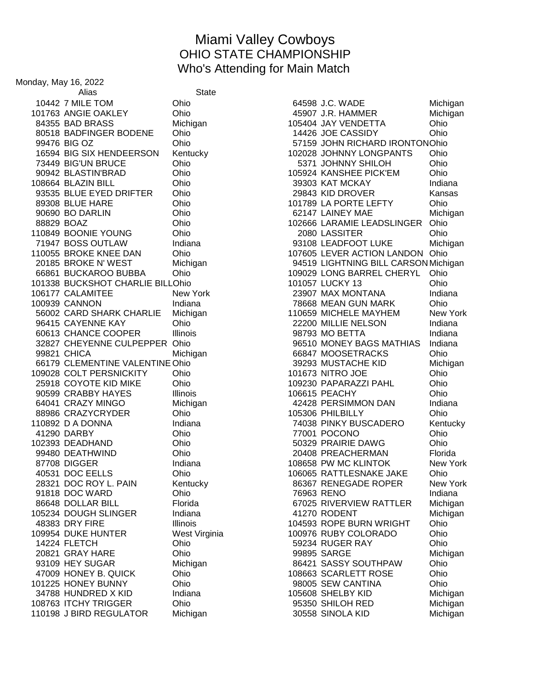## Miami Valley Cowboys OHIO STATE CHAMPIONSHIP Who's Attending for Main Match

Monday, May 16, 2022 Alias State 84355 BAD BRASS Michigan 105404 JAY VENDETTA Ohio BIG SIX HENDEERSON Kentucky 102028 JOHNNY LONGPANTS Ohio BIG'UN BRUCE Ohio 5371 JOHNNY SHILOH Ohio BLASTIN'BRAD Ohio 105924 KANSHEE PICK'EM Ohio BOONIE YOUNG Ohio 2080 LASSITER Ohio BROKE KNEE DAN Ohio 107605 LEVER ACTION LANDON Ohio BUCKSHOT CHARLIE BILLOhio 101057 LUCKY 13 Ohio CANNON Indiana 78668 MEAN GUN MARK Ohio COLT PERSNICKITY Ohio 101673 NITRO JOE Ohio DEADHAND Ohio 50329 PRAIRIE DAWG Ohio DUKE HUNTER West Virginia 100976 RUBY COLORADO Ohio FLETCH Ohio 59234 RUGER RAY Ohio HONEY BUNNY Ohio 98005 SEW CANTINA Ohio J BIRD REGULATOR Michigan 30558 SINOLA KID Michigan

 7 MILE TOM Ohio 64598 J.C. WADE Michigan 101763 ANGIE OAKLEY Chio Chio 45907 J.R. HAMMER Michigan BADFINGER BODENE Ohio 14426 JOE CASSIDY Ohio BIG OZ Ohio 57159 JOHN RICHARD IRONTONOhio BLAZIN BILL Ohio 39303 KAT MCKAY Indiana 93535 BLUE EYED DRIFTER Ohio 29843 KID DROVER Kansas BLUE HARE Ohio 101789 LA PORTE LEFTY Ohio BO DARLIN Ohio 62147 LAINEY MAE Michigan BOAZ Ohio 102666 LARAMIE LEADSLINGER Ohio 71947 BOSS OUTLAW Indiana 193108 LEADFOOT LUKE Michigan BROKE N' WEST Michigan 94519 LIGHTNING BILL CARSONMichigan BUCKAROO BUBBA Ohio 109029 LONG BARREL CHERYL Ohio CALAMITEE New York 23907 MAX MONTANA Indiana CARD SHARK CHARLIE Michigan 110659 MICHELE MAYHEM New York 96415 CAYENNE KAY **Ohio** Ohio 22200 MILLIE NELSON Indiana CHANCE COOPER Illinois 98793 MO BETTA Indiana CHEYENNE CULPEPPER Ohio 96510 MONEY BAGS MATHIAS Indiana CHICA Michigan 66847 MOOSETRACKS Ohio 66179 CLEMENTINE VALENTINE Ohio 39293 MUSTACHE KID Michigan COYOTE KID MIKE Ohio 109230 PAPARAZZI PAHL Ohio 90599 CRABBY HAYES Illinois 106615 PEACHY Ohio CRAZY MINGO Michigan 42428 PERSIMMON DAN Indiana 64041 CRAZT MINGO والمستعدد المستعدد المستعدد المستعدد المستعدد المستعدد المستعدد المستعدد المستعدد المستعدد ا<br>88986 CRAZYCRYDER Ohio المستعدد المستعدد المستعدد المستعدد المستعدد المستعدد المستعدد المستعدد المستعدد المستع 110892 D A DONNA **Indiana** Indiana **110892 D A DONNA Indiana** 74038 PINKY BUSCADERO Kentucky DARBY Ohio 77001 POCONO Ohio DEATHWIND Ohio 20408 PREACHERMAN Florida 87708 DIGGER Indiana 108658 PW MC KLINTOK New York DOC EELLS Ohio 106065 RATTLESNAKE JAKE Ohio 28321 DOC ROY L. PAIN Kentucky New York 86367 RENEGADE ROPER New York DOC WARD Ohio 76963 RENO Indiana DOLLAR BILL Florida 67025 RIVERVIEW RATTLER Michigan DOUGH SLINGER Indiana 41270 RODENT Michigan 48383 DRY FIRE **Illinois** Illinois 104593 ROPE BURN WRIGHT Ohio GRAY HARE Ohio 99895 SARGE Michigan 93109 HEY SUGAR Michigan 86421 SASSY SOUTHPAW Ohio HONEY B. QUICK Ohio 108663 SCARLETT ROSE Ohio HUNDRED X KID Indiana 105608 SHELBY KID Michigan ITCHY TRIGGER Ohio 95350 SHILOH RED Michigan